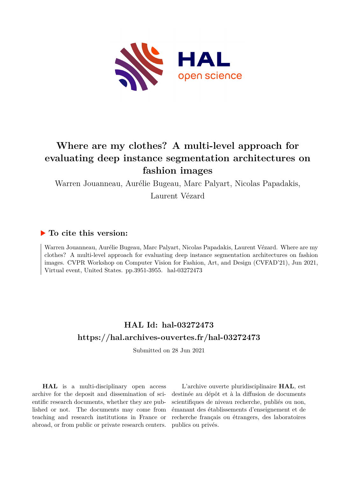<span id="page-0-0"></span>

# **Where are my clothes? A multi-level approach for evaluating deep instance segmentation architectures on fashion images**

Warren Jouanneau, Aurélie Bugeau, Marc Palyart, Nicolas Papadakis,

Laurent Vézard

# **To cite this version:**

Warren Jouanneau, Aurélie Bugeau, Marc Palyart, Nicolas Papadakis, Laurent Vézard. Where are my clothes? A multi-level approach for evaluating deep instance segmentation architectures on fashion images. CVPR Workshop on Computer Vision for Fashion, Art, and Design (CVFAD'21), Jun 2021, Virtual event, United States. pp. 3951-3955. hal-03272473

# **HAL Id: hal-03272473 <https://hal.archives-ouvertes.fr/hal-03272473>**

Submitted on 28 Jun 2021

**HAL** is a multi-disciplinary open access archive for the deposit and dissemination of scientific research documents, whether they are published or not. The documents may come from teaching and research institutions in France or abroad, or from public or private research centers.

L'archive ouverte pluridisciplinaire **HAL**, est destinée au dépôt et à la diffusion de documents scientifiques de niveau recherche, publiés ou non, émanant des établissements d'enseignement et de recherche français ou étrangers, des laboratoires publics ou privés.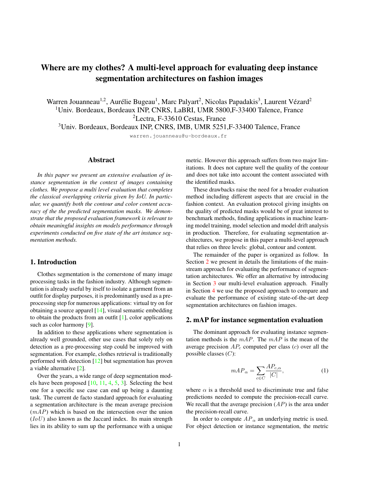# Where are my clothes? A multi-level approach for evaluating deep instance segmentation architectures on fashion images

Warren Jouanneau<sup>1,2</sup>, Aurélie Bugeau<sup>1</sup>, Marc Palyart<sup>2</sup>, Nicolas Papadakis<sup>3</sup>, Laurent Vézard<sup>2</sup> <sup>1</sup>Univ. Bordeaux, Bordeaux INP, CNRS, LaBRI, UMR 5800, F-33400 Talence, France <sup>2</sup>Lectra, F-33610 Cestas, France

<sup>3</sup>Univ. Bordeaux, Bordeaux INP, CNRS, IMB, UMR 5251,F-33400 Talence, France

warren.jouanneau@u-bordeaux.fr

# Abstract

*In this paper we present an extensive evaluation of instance segmentation in the context of images containing clothes. We propose a multi level evaluation that completes the classical overlapping criteria given by IoU. In particular, we quantify both the contour and color content accuracy of the the predicted segmentation masks. We demonstrate that the proposed evaluation framework is relevant to obtain meaningful insights on models performance through experiments conducted on five state of the art instance segmentation methods.*

#### 1. Introduction

Clothes segmentation is the cornerstone of many image processing tasks in the fashion industry. Although segmentation is already useful by itself to isolate a garment from an outfit for display purposes, it is predominantly used as a preprocessing step for numerous applications: virtual try on for obtaining a source apparel [14], visual semantic embedding to obtain the products from an outfit  $[1]$ , color applications such as color harmony [9].

In addition to these applications where segmentation is already well grounded, other use cases that solely rely on detection as a pre-processing step could be improved with segmentation. For example, clothes retrieval is traditionally performed with detection [12] but segmentation has proven a viable alternative [2].

Over the years, a wide range of deep segmentation models have been proposed  $[10, 11, 4, 5, 3]$ . Selecting the best one for a specific use case can end up being a daunting task. The current de facto standard approach for evaluating a segmentation architecture is the mean average precision  $(mAP)$  which is based on the intersection over the union  $(IoU)$  also known as the Jaccard index. Its main strength lies in its ability to sum up the performance with a unique metric. However this approach suffers from two major limitations. It does not capture well the quality of the contour and does not take into account the content associated with the identified masks.

These drawbacks raise the need for a broader evaluation method including different aspects that are crucial in the fashion context. An evaluation protocol giving insights on the quality of predicted masks would be of great interest to benchmark methods, finding applications in machine learning model training, model selection and model drift analysis in production. Therefore, for evaluating segmentation architectures, we propose in this paper a multi-level approach that relies on three levels: global, contour and content.

The remainder of the paper is organized as follow. In Section 2 we present in details the limitations of the mainstream approach for evaluating the performance of segmentation architectures. We offer an alternative by introducing in Section 3 our multi-level evaluation approach. Finally in Section 4 we use the proposed approach to compare and evaluate the performance of existing state-of-the-art deep segmentation architectures on fashion images.

#### 2. mAP for instance segmentation evaluation

The dominant approach for evaluating instance segmentation methods is the  $mAP$ . The  $mAP$  is the mean of the average precision  $AP_c$  computed per class (c) over all the possible classes  $(C)$ :

$$
mAP_{\alpha} = \sum_{c \in C} \frac{AP_{c,\alpha}}{|C|},\tag{1}
$$

where  $\alpha$  is a threshold used to discriminate true and false predictions needed to compute the precision-recall curve. We recall that the average precision  $(AP)$  is the area under the precision-recall curve.

In order to compute  $AP_{\alpha}$  an underlying metric is used. For object detection or instance segmentation, the metric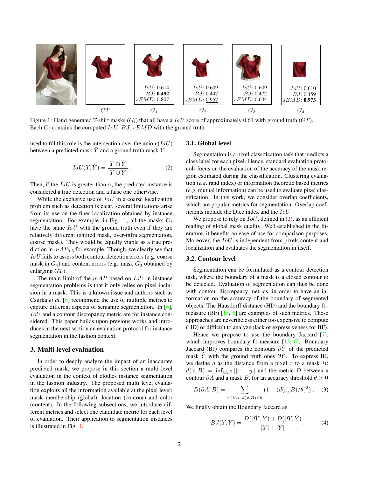

Figure 1: Hand generated T-shirt masks  $(G_i)$  that all have a  $IoU$  score of approximately 0.61 with ground truth  $(GT)$ . Each  $G_i$  contains the computed  $IoU$ ,  $BJ$ ,  $sEMD$  with the ground truth.

used to fill this role is the intersection over the union  $(IoU)$ between a predicted mask  $Y$  and a ground truth mask  $Y$ 

$$
IoU(Y, \hat{Y}) = \frac{|Y \cap \hat{Y}|}{|Y \cup \hat{Y}|}.
$$
 (2)

Then, if the  $IoU$  is greater than  $\alpha$ , the predicted instance is considered a true detection and a false one otherwise.

While the exclusive use of  $IoU$  in a coarse localization problem such as detection is clear, several limitations arise from its use on the finer localization obtained by instance segmentation. For example, in Fig. 1, all the masks  $G_i$ have the same  $IoU$  with the ground truth even if they are relatively different (shifted mask, over-infra segmentation, coarse mask). They would be equally viable as a true prediction in  $mAP<sub>0.5</sub>$  for example. Though, we clearly see that IoU fails to assess both contour detection errors (e.g. coarse mask in  $G_4$ ) and content errors (e.g. mask  $G_3$  obtained by enlarging GT).

The main limit of the  $mAP$  based on  $IoU$  in instance segmentation problems is that it only relies on pixel inclusion in a mask. This is a known issue and authors such as Csurka *et al*. [6] recommend the use of multiple metrics to capture different aspects of semantic segmentation. In [6], IoU and a contour discrepancy metric are for instance considered. This paper builds upon previous works and introduces in the next section an evaluation protocol for instance segmentation in the fashion context.

### 3. Multi level evaluation

In order to deeply analyze the impact of an inaccurate predicted mask, we propose in this section a multi level evaluation in the context of clothes instance segmentation in the fashion industry. The proposed multi level evaluation exploits all the information available at the pixel level: mask membership (global), location (contour) and color (content). In the following subsections, we introduce different metrics and select one candidate metric for each level of evaluation. Their application to segmentation instances is illustrated in Fig. 1.

# 3.1. Global level

Segmentation is a pixel classification task that predicts a class label for each pixel. Hence, standard evaluation protocols focus on the evaluation of the accuracy of the mask region estimated during the classification. Clustering evaluation (*e.g*. rand index) or information theoretic based metrics (*e.g*. mutual information) can be used to evaluate pixel classification. In this work, we consider overlap coefficients, which are popular metrics for segmentation. Overlap coefficients include the Dice index and the IoU.

We propose to rely on  $IoU$ , defined in  $(2)$ , as an efficient reading of global mask quality. Well established in the literature, it benefits an ease of use for comparison purposes. Moreover, the  $IoU$  is independent from pixels content and localization and evaluates the segmentation in itself.

#### 3.2. Contour level

Segmentation can be formulated as a contour detection task, where the boundary of a mask is a closed contour to be detected. Evaluation of segmentation can thus be done with contour discrepancy metrics, in order to have an information on the accuracy of the boundary of segmented objects. The Hausdorff distance (HD) and the boundary f1 measure (BF) [13, 6] are examples of such metrics. These approaches are nevertheless either too expensive to compute (HD) or difficult to analyze (lack of expressiveness for BF).

Hence we propose to use the boundary Jaccard [7], which improves boundary f1-measure [13, 6]. Boundary Jaccard (BJ) compares the contours  $\partial Y$  of the predicted mask Y with the ground truth ones  $\partial Y$ . To express BJ, we define  $d$  as the distance from a pixel  $x$  to a mask  $B$ :  $d(x, B) = \inf_{y \in B} ||x - y||$  and the metric D between a contour  $\partial A$  and a mask B, for an accuracy threshold  $\theta > 0$ 

$$
D(\partial A, B) = \sum_{x \in \partial A, d(x, B) < \theta} \left( 1 - \left( d(x, B) / \theta \right)^2 \right), \quad (3)
$$

We finally obtain the Boundary Jaccard as

$$
BJ(Y, \hat{Y}) = \frac{D(\partial \hat{Y}, Y) + D(\partial Y, \hat{Y})}{|Y| + |\hat{Y}|}.
$$
 (4)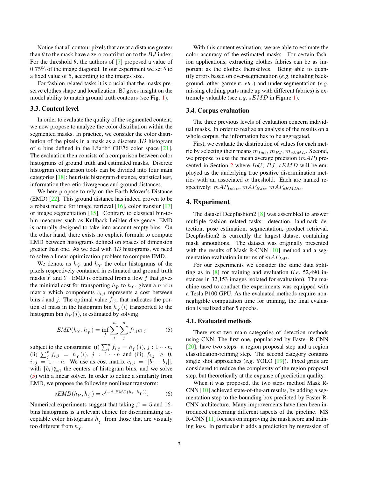Notice that all contour pixels that are at a distance greater than  $\theta$  to the mask have a zero contribution to the  $BJ$  index. For the threshold  $\theta$ , the authors of [7] proposed a value of 0.75% of the image diagonal. In our experiment we set  $\theta$  to a fixed value of 5, according to the images size.

For fashion related tasks it is crucial that the masks preserve clothes shape and localization. BJ gives insight on the model ability to match ground truth contours (see Fig. 1).

### 3.3. Content level

In order to evaluate the quality of the segmented content, we now propose to analyze the color distribution within the segmented masks. In practice, we consider the color distribution of the pixels in a mask as a discrete 3D histogram of *n* bins defined in the L\*a\*b\* CIE76 color space [21]. The evaluation then consists of a comparison between color histograms of ground truth and estimated masks. Discrete histogram comparison tools can be divided into four main categories [18]: heuristic histogram distance, statistical test, information theoretic divergence and ground distances.

We here propose to rely on the Earth Mover's Distance (EMD) [22]. This ground distance has indeed proven to be a robust metric for image retrieval  $[16]$ , color transfer  $[17]$ or image segmentation [15]. Contrary to classical bin-tobin measures such as Kullback-Leibler divergence, EMD is naturally designed to take into account empty bins. On the other hand, there exists no explicit formula to compute EMD between histograms defined on spaces of dimension greater than one. As we deal with  $3D$  histograms, we need to solve a linear optimization problem to compute EMD.

We denote as  $h_{\hat{Y}}$  and  $h_{Y}$  the color histograms of the pixels respectively contained in estimated and ground truth masks  $\overline{Y}$  and  $\overline{Y}$ . EMD is obtained from a flow  $f$  that gives the minimal cost for transporting  $h_{\hat{V}}$  to  $h_{Y}$ , given a  $n \times n$ matrix which components  $c_{i,j}$  represents a cost between bins i and j. The optimal value  $f_{ij}$ , that indicates the portion of mass in the histogram bin  $h_{\hat{Y}}(i)$  transported to the histogram bin  $h_Y(j)$ , is estimated by solving

$$
EMD(h_Y, h_{\hat{Y}}) = \inf_{f} \sum_{i}^{n} \sum_{j}^{n} f_{i,j} c_{i,j}
$$
 (5)

subject to the constraints: (i)  $\sum_{i}^{n} f_{i,j} = h_{\hat{Y}}(j), j : 1 \cdots n$ , (ii)  $\sum_{j=1}^{n} f_{i,j} = h_Y(i)$ ,  $j: 1 \cdots n$  and (iii)  $f_{i,j} \geq 0$ ,  $i, j = 1 \cdots n$ . We use as cost matrix  $c_{i,j} = ||\overline{b_i} - \overline{b_j}||$ , with  $\{b_i\}_{i=1}^n$  the centers of histogram bins, and we solve (5) with a linear solver. In order to define a similarity from EMD, we propose the following nonlinear transform:

$$
sEMD(h_Y, h_{\hat{Y}}) = e^{(-\beta.EMD(h_Y, h_{\hat{Y}}))}.
$$
 (6)

Numerical experiments suggest that taking  $\beta = 5$  and 16bins histograms is a relevant choice for discriminating acceptable color histograms  $h_{\hat{Y}}$  from those that are visually too different from  $h_Y$ .

With this content evaluation, we are able to estimate the color accuracy of the estimated masks. For certain fashion applications, extracting clothes fabrics can be as important as the clothes themselves. Being able to quantify errors based on over-segmentation (*e.g*. including background, other garment, *etc*.) and under-segmentation (*e.g*. missing clothing parts made up with different fabrics) is extremely valuable (see *e.g*. sEMD in Figure 1).

#### 3.4. Corpus evaluation

The three previous levels of evaluation concern individual masks. In order to realize an analysis of the results on a whole corpus, the information has to be aggregated.

First, we evaluate the distribution of values for each metric by selecting their means  $m_{IoU}$ ,  $m_{BJ}$ ,  $m_{sEMD}$ . Second, we propose to use the mean average precision  $(mAP)$  presented in Section 2 where  $IoU$ ,  $BJ$ ,  $sEMD$  will be employed as the underlying true positive discrimination metrics with an associated  $\alpha$  threshold. Each are named respectively:  $mAP_{IoU\alpha}$ ,  $mAP_{BJ\alpha}$ ,  $mAP_{sEMD\alpha}$ .

# 4. Experiment

The dataset Deepfashion2 [8] was assembled to answer multiple fashion related tasks: detection, landmark detection, pose estimation, segmentation, product retrieval. Deepfashion2 is currently the largest dataset containing mask annotations. The dataset was originally presented with the results of Mask R-CNN [10] method and a segmentation evaluation in terms of  $mAP_{IoU}$ .

For our experiments we consider the same data splitting as in [8] for training and evaluation (*i.e*. 52,490 instances in 32,153 images isolated for evaluation). The machine used to conduct the experiments was equipped with a Tesla P100 GPU. As the evaluated methods require nonnegligible computation time for training, the final evaluation is realized after 5 epochs.

#### 4.1. Evaluated methods

There exist two main categories of detection methods using CNN. The first one, popularized by Faster R-CNN [20], have two steps: a region proposal step and a region classification-refining step. The second category contains single shot approaches (*e.g*. YOLO [19]). Fixed grids are considered to reduce the complexity of the region proposal step, but theoretically at the expanse of prediction quality.

When it was proposed, the two steps method Mask R-CNN [10] achieved state-of-the-art results, by adding a segmentation step to the bounding box predicted by Faster R-CNN architecture. Many improvements have then been introduced concerning different aspects of the pipeline. MS R-CNN [11] focuses on improving the mask score and training loss. In particular it adds a prediction by regression of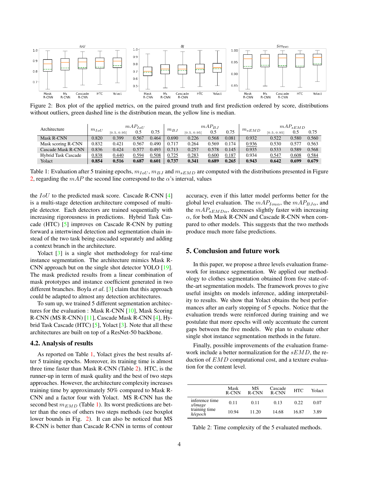

Figure 2: Box plot of the applied metrics, on the paired ground truth and first prediction ordered by score, distributions without outliers, green dashed line is the distribution mean, the yellow line is median.

| Architecture               | $m_{IoU}$ | $mAP_{IoU}$ |       |       |           | $mAP_{B,I}$ |       |       |            | $mAP_{sEMD}$ |       |       |
|----------------------------|-----------|-------------|-------|-------|-----------|-------------|-------|-------|------------|--------------|-------|-------|
|                            |           | [0.5, 0.95] | 0.5   | 0.75  | $m_{B,I}$ | [0.5, 0.95] | 0.5   | 0.75  | $m_{sEMD}$ | [0.5, 0.95]  | 0.5   | 0.75  |
| Mask R-CNN                 | 0.820     | 0.399       | 0.567 | 0.464 | 0.690     | 0.226       | 0.568 | 0.081 | 0.932      | 0.522        | 0.580 | 0.560 |
| Mask scoring R-CNN         | 0.832     | 0.421       | 0.567 | 0.490 | 0.717     | 0.264       | 0.569 | 0.174 | 0.936      | 0.530        | 0.577 | 0.563 |
| Cascade Mask R-CNN         | 0.836     | 0.424       | 0.577 | 0.493 | 0.713     | 0.257       | 0.578 | 0.145 | 0.935      | 0.533        | 0.589 | 0.568 |
| <b>Hybrid Task Cascade</b> | 0.838     | 0.440       | 0.594 | 0.508 | 0.725     | 0.283       | 0.600 | 0.187 | 0.934      | 0.547        | 0.608 | 0.584 |
| Yolact                     | 0.854     | 0.516       | 0.687 | 0.601 | 0.737     | 0.341       | 0.689 | 0.265 | 0.943      | 0.642        | 0.699 | 0.679 |

Table 1: Evaluation after 5 training epochs,  $m_{IoU}$ ,  $m_{BJ}$  and  $m_{sEMD}$  are computed with the distributions presented in Figure 2, regarding the  $mAP$  the second line correspond to the  $\alpha$ 's interval, values

the  $IoU$  to the predicted mask score. Cascade R-CNN  $[4]$ is a multi-stage detection architecture composed of multiple detector. Each detectors are trained sequentially with increasing rigorousness in predictions. Hybrid Task Cascade (HTC) [5] improves on Cascade R-CNN by putting forward a intertwined detection and segmentation chain instead of the two task being cascaded separately and adding a context branch in the architecture.

Yolact [3] is a single shot methodology for real-time instance segmentation. The architecture mimics Mask R-CNN approach but on the single shot detector YOLO [19]. The mask predicted results from a linear combination of mask prototypes and instance coefficient generated in two different branches. Boyla *et al*. [3] claim that this approach could be adapted to almost any detection architectures.

To sum up, we trained 5 different segmentation architectures for the evaluation : Mask R-CNN [10], Mask Scoring R-CNN (MS R-CNN) [11], Cascade Mask R-CNN [4], Hybrid Task Cascade (HTC) [5], Yolact [3]. Note that all these architectures are built on top of a ResNet-50 backbone.

#### 4.2. Analysis of results

As reported on Table 1, Yolact gives the best results after 5 training epochs. Moreover, its training time is almost three time faster than Mask R-CNN (Table 2). HTC, is the runner-up in term of mask quality and the best of two steps approaches. However, the architecture complexity increases training time by approximately 50% compared to Mask R-CNN and a factor four with Yolact. MS R-CNN has the second best  $m_{EMD}$  (Table 1). Its worst predictions are better than the ones of others two steps methods (see boxplot lower bounds in Fig. 2). It can also be noticed that MS R-CNN is better than Cascade R-CNN in terms of contour accuracy, even if this latter model performs better for the global level evaluation. The  $mAP_{Iou\alpha}$ , the  $mAP_{BJ\alpha}$ , and the  $mAP_{sEMD\alpha}$ , decreases slightly faster with increasing  $\alpha$ , for both Mask R-CNN and Cascade R-CNN when compared to other models. This suggests that the two methods produce much more false predictions.

#### 5. Conclusion and future work

In this paper, we propose a three levels evaluation framework for instance segmentation. We applied our methodology to clothes segmentation obtained from five state-ofthe-art segmentation models. The framework proves to give useful insights on models inference, adding interpretability to results. We show that Yolact obtains the best performances after an early stopping of 5 epochs. Notice that the evaluation trends were reinforced during training and we postulate that more epochs will only accentuate the current gaps between the five models. We plan to evaluate other single shot instance segmentation methods in the future.

Finally, possible improvements of the evaluation framework include a better normalization for the  $sEMD$ , the reduction of  $EMD$  computational cost, and a texture evaluation for the content level.

|                           | Mask<br>R-CNN | МS<br>R-CNN | Cascade<br>R-CNN | <b>HTC</b> | Yolact |
|---------------------------|---------------|-------------|------------------|------------|--------|
| inference time<br>s/image | 0.11          | 0.11        | 0.13             | 0.22       | 0.07   |
| training time<br>h/epoch  | 10.94         | 11.20       | 14.68            | 16.87      | 3.89   |

Table 2: Time complexity of the 5 evaluated methods.